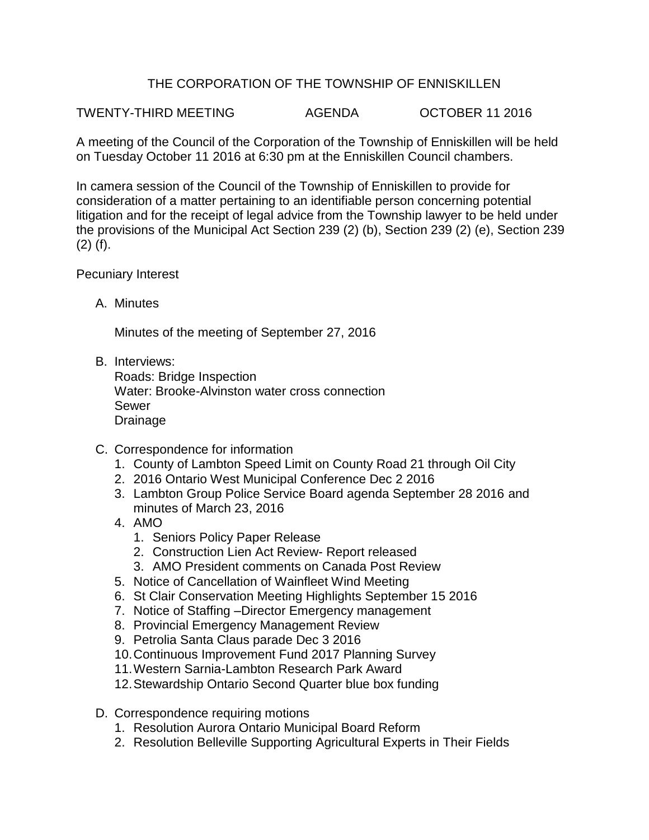## THE CORPORATION OF THE TOWNSHIP OF ENNISKILLEN

TWENTY-THIRD MEETING AGENDA OCTOBER 11 2016

A meeting of the Council of the Corporation of the Township of Enniskillen will be held on Tuesday October 11 2016 at 6:30 pm at the Enniskillen Council chambers.

In camera session of the Council of the Township of Enniskillen to provide for consideration of a matter pertaining to an identifiable person concerning potential litigation and for the receipt of legal advice from the Township lawyer to be held under the provisions of the Municipal Act Section 239 (2) (b), Section 239 (2) (e), Section 239 (2) (f).

## Pecuniary Interest

A. Minutes

Minutes of the meeting of September 27, 2016

B. Interviews:

Roads: Bridge Inspection Water: Brooke-Alvinston water cross connection Sewer Drainage

- C. Correspondence for information
	- 1. County of Lambton Speed Limit on County Road 21 through Oil City
	- 2. 2016 Ontario West Municipal Conference Dec 2 2016
	- 3. Lambton Group Police Service Board agenda September 28 2016 and minutes of March 23, 2016
	- 4. AMO
		- 1. Seniors Policy Paper Release
		- 2. Construction Lien Act Review- Report released
		- 3. AMO President comments on Canada Post Review
	- 5. Notice of Cancellation of Wainfleet Wind Meeting
	- 6. St Clair Conservation Meeting Highlights September 15 2016
	- 7. Notice of Staffing –Director Emergency management
	- 8. Provincial Emergency Management Review
	- 9. Petrolia Santa Claus parade Dec 3 2016
	- 10.Continuous Improvement Fund 2017 Planning Survey
	- 11.Western Sarnia-Lambton Research Park Award
	- 12.Stewardship Ontario Second Quarter blue box funding
- D. Correspondence requiring motions
	- 1. Resolution Aurora Ontario Municipal Board Reform
	- 2. Resolution Belleville Supporting Agricultural Experts in Their Fields